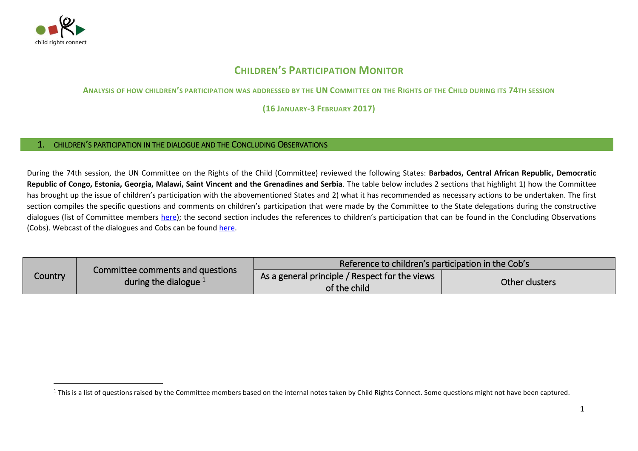

 $\overline{\phantom{a}}$ 

# **CHILDREN'S PARTICIPATION MONITOR**

**ANALYSIS OF HOW CHILDREN'S PARTICIPATION WAS ADDRESSED BY THE UN COMMITTEE ON THE RIGHTS OF THE CHILD DURING ITS 74TH SESSION** 

**(16 JANUARY-3 FEBRUARY 2017)**

## 1. CHILDREN'S PARTICIPATION IN THE DIALOGUE AND THE CONCLUDING OBSERVATIONS

During the 74th session, the UN Committee on the Rights of the Child (Committee) reviewed the following States: **Barbados, Central African Republic, Democratic Republic of Congo, Estonia, Georgia, Malawi, Saint Vincent and the Grenadines and Serbia**. The table below includes 2 sections that highlight 1) how the Committee has brought up the issue of children's participation with the abovementioned States and 2) what it has recommended as necessary actions to be undertaken. The first section compiles the specific questions and comments on children's participation that were made by the Committee to the State delegations during the constructive dialogues (list of Committee members [here\)](http://www.ohchr.org/EN/HRBodies/CRC/Pages/Membership.aspx); the second section includes the references to children's participation that can be found in the Concluding Observations (Cobs). Webcast of the dialogues and Cobs can be found [here.](http://tbinternet.ohchr.org/_layouts/treatybodyexternal/SessionDetails1.aspx?SessionID=1042&Lang=en)

|         |                                                             | Reference to children's participation in the Cob's             |                |
|---------|-------------------------------------------------------------|----------------------------------------------------------------|----------------|
| Country | Committee comments and questions<br>during the dialogue $1$ | As a general principle / Respect for the views<br>of the child | Other clusters |

<sup>&</sup>lt;sup>1</sup> This is a list of questions raised by the Committee members based on the internal notes taken by Child Rights Connect. Some questions might not have been captured.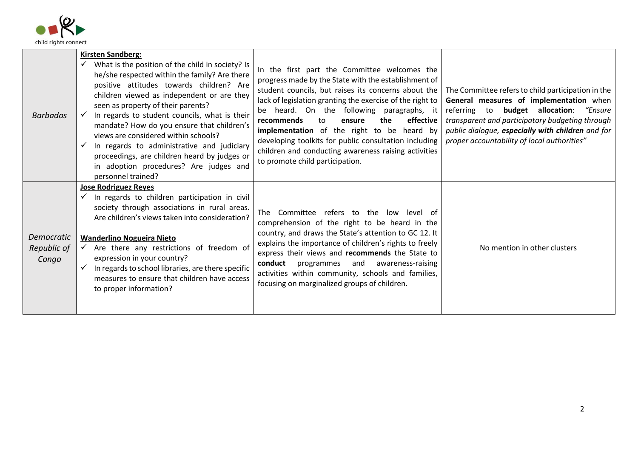

| <b>Barbados</b>                    | <b>Kirsten Sandberg:</b><br>What is the position of the child in society? Is<br>he/she respected within the family? Are there<br>positive attitudes towards children? Are<br>children viewed as independent or are they<br>seen as property of their parents?<br>In regards to student councils, what is their<br>mandate? How do you ensure that children's<br>views are considered within schools?<br>In regards to administrative and judiciary<br>proceedings, are children heard by judges or<br>in adoption procedures? Are judges and<br>personnel trained? | In the first part the Committee welcomes the<br>progress made by the State with the establishment of<br>student councils, but raises its concerns about the<br>lack of legislation granting the exercise of the right to<br>be heard. On the following paragraphs, it<br>recommends<br>the<br>effective<br>to<br>ensure<br>implementation of the right to be heard by<br>developing toolkits for public consultation including<br>children and conducting awareness raising activities<br>to promote child participation. | The Committee refers to child participation in the<br>General measures of implementation when<br>referring to <b>budget allocation</b> :<br>"Ensure<br>transparent and participatory budgeting through<br>public dialogue, especially with children and for<br>proper accountability of local authorities" |
|------------------------------------|--------------------------------------------------------------------------------------------------------------------------------------------------------------------------------------------------------------------------------------------------------------------------------------------------------------------------------------------------------------------------------------------------------------------------------------------------------------------------------------------------------------------------------------------------------------------|---------------------------------------------------------------------------------------------------------------------------------------------------------------------------------------------------------------------------------------------------------------------------------------------------------------------------------------------------------------------------------------------------------------------------------------------------------------------------------------------------------------------------|------------------------------------------------------------------------------------------------------------------------------------------------------------------------------------------------------------------------------------------------------------------------------------------------------------|
| Democratic<br>Republic of<br>Congo | <b>Jose Rodriguez Reyes</b><br>$\checkmark$ In regards to children participation in civil<br>society through associations in rural areas.<br>Are children's views taken into consideration?<br><b>Wanderlino Nogueira Nieto</b><br>Are there any restrictions of freedom of<br>expression in your country?<br>In regards to school libraries, are there specific<br>measures to ensure that children have access<br>to proper information?                                                                                                                         | The Committee refers to the low level of<br>comprehension of the right to be heard in the<br>country, and draws the State's attention to GC 12. It<br>explains the importance of children's rights to freely<br>express their views and recommends the State to<br>conduct<br>programmes<br>and<br>awareness-raising<br>activities within community, schools and families,<br>focusing on marginalized groups of children.                                                                                                | No mention in other clusters                                                                                                                                                                                                                                                                               |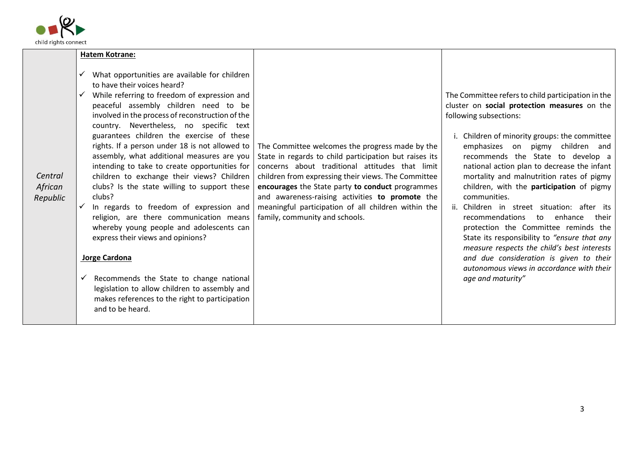

*Central African Republic* 

## **Hatem Kotrane:**

- $\checkmark$  What opportunities are available for children to have their voices heard?
- $\checkmark$  While referring to freedom of expression and peaceful assembly children need to be involved in the process of reconstruction of the country. Nevertheless, no specific text guarantees children the exercise of these rights. If a person under 18 is not allowed to assembly, what additional measures are you intending to take to create opportunities for children to exchange their views? Children clubs? Is the state willing to support these clubs?
- $\checkmark$  In regards to freedom of expression and religion, are there communication means whereby young people and adolescents can express their views and opinions?

#### **Jorge Cardona**

 $\checkmark$  Recommends the State to change national legislation to allow children to assembly and makes references to the right to participation and to be heard.

The Committee welcomes the progress made by the State in regards to child participation but raises its concerns about traditional attitudes that limit children from expressing their views. The Committee **encourages** the State party **to conduct** programmes and awareness-raising activities **to promote** the meaningful participation of all children within the family, community and schools.

The Committee refers to child participation in the cluster on **social protection measures** on the following subsections:

- i. Children of minority groups: the committee emphasizes on pigmy children and recommends the State to develop a national action plan to decrease the infant mortality and malnutrition rates of pigmy children, with the **participation** of pigmy communities.
- ii. Children in street situation: after its recommendations to enhance their protection the Committee reminds the State its responsibility to *"ensure that any measure respects the child's best interests and due consideration is given to their autonomous views in accordance with their age and maturity"*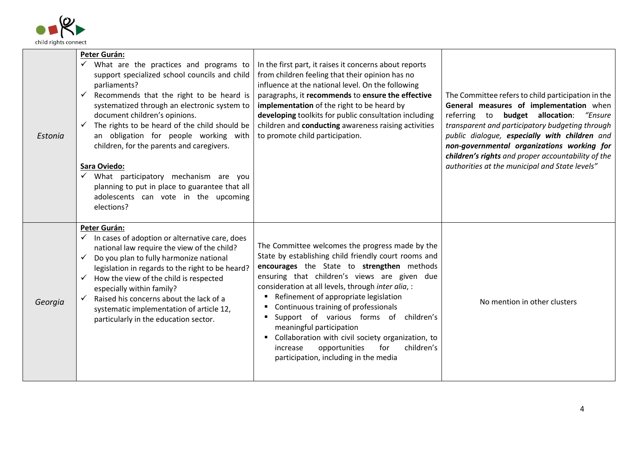

| Estonia | Peter Gurán:<br>$\checkmark$ What are the practices and programs to<br>support specialized school councils and child<br>parliaments?<br>Recommends that the right to be heard is<br>systematized through an electronic system to<br>document children's opinions.<br>The rights to be heard of the child should be<br>an obligation for people working with<br>children, for the parents and caregivers.<br><b>Sara Oviedo:</b><br>$\checkmark$ What participatory mechanism are you<br>planning to put in place to guarantee that all<br>adolescents can vote in the upcoming<br>elections? | In the first part, it raises it concerns about reports<br>from children feeling that their opinion has no<br>influence at the national level. On the following<br>paragraphs, it recommends to ensure the effective<br>implementation of the right to be heard by<br>developing toolkits for public consultation including<br>children and conducting awareness raising activities<br>to promote child participation.                                                                                                                                              | The Committee refers to child participation in the<br>General measures of implementation when<br>referring to <b>budget allocation</b> : "Ensure<br>transparent and participatory budgeting through<br>public dialogue, especially with children and<br>non-governmental organizations working for<br>children's rights and proper accountability of the<br>authorities at the municipal and State levels" |
|---------|----------------------------------------------------------------------------------------------------------------------------------------------------------------------------------------------------------------------------------------------------------------------------------------------------------------------------------------------------------------------------------------------------------------------------------------------------------------------------------------------------------------------------------------------------------------------------------------------|--------------------------------------------------------------------------------------------------------------------------------------------------------------------------------------------------------------------------------------------------------------------------------------------------------------------------------------------------------------------------------------------------------------------------------------------------------------------------------------------------------------------------------------------------------------------|------------------------------------------------------------------------------------------------------------------------------------------------------------------------------------------------------------------------------------------------------------------------------------------------------------------------------------------------------------------------------------------------------------|
| Georgia | Peter Gurán:<br>In cases of adoption or alternative care, does<br>national law require the view of the child?<br>Do you plan to fully harmonize national<br>$\checkmark$<br>legislation in regards to the right to be heard?<br>How the view of the child is respected<br>especially within family?<br>Raised his concerns about the lack of a<br>systematic implementation of article 12,<br>particularly in the education sector.                                                                                                                                                          | The Committee welcomes the progress made by the<br>State by establishing child friendly court rooms and<br>encourages the State to strengthen methods<br>ensuring that children's views are given due<br>consideration at all levels, through inter alia, :<br>Refinement of appropriate legislation<br>Continuous training of professionals<br>Support of various forms of children's<br>meaningful participation<br>Collaboration with civil society organization, to<br>opportunities<br>for<br>children's<br>increase<br>participation, including in the media | No mention in other clusters                                                                                                                                                                                                                                                                                                                                                                               |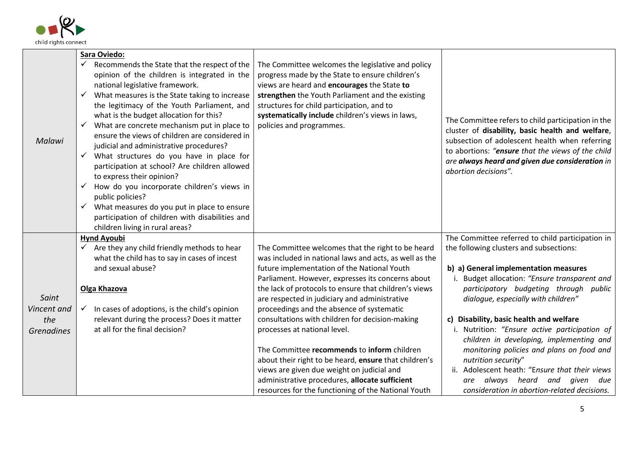

|                                                  | Sara Oviedo:                                                                                                                                                                                                                                                                                                                                                                                                                                                                                                                                                                                                                                                                                                                                                                                                                         |                                                                                                                                                                                                                                                                                                                                                                                                                                                                                                                                                                                                                                                                                                                          |                                                                                                                                                                                                                                                                                                                                                                                                                                                                                                                                                                                                                        |
|--------------------------------------------------|--------------------------------------------------------------------------------------------------------------------------------------------------------------------------------------------------------------------------------------------------------------------------------------------------------------------------------------------------------------------------------------------------------------------------------------------------------------------------------------------------------------------------------------------------------------------------------------------------------------------------------------------------------------------------------------------------------------------------------------------------------------------------------------------------------------------------------------|--------------------------------------------------------------------------------------------------------------------------------------------------------------------------------------------------------------------------------------------------------------------------------------------------------------------------------------------------------------------------------------------------------------------------------------------------------------------------------------------------------------------------------------------------------------------------------------------------------------------------------------------------------------------------------------------------------------------------|------------------------------------------------------------------------------------------------------------------------------------------------------------------------------------------------------------------------------------------------------------------------------------------------------------------------------------------------------------------------------------------------------------------------------------------------------------------------------------------------------------------------------------------------------------------------------------------------------------------------|
| Malawi                                           | $\checkmark$ Recommends the State that the respect of the<br>opinion of the children is integrated in the<br>national legislative framework.<br>What measures is the State taking to increase<br>$\checkmark$<br>the legitimacy of the Youth Parliament, and<br>what is the budget allocation for this?<br>What are concrete mechanism put in place to<br>ensure the views of children are considered in<br>judicial and administrative procedures?<br>What structures do you have in place for<br>$\checkmark$<br>participation at school? Are children allowed<br>to express their opinion?<br>How do you incorporate children's views in<br>$\checkmark$<br>public policies?<br>What measures do you put in place to ensure<br>$\checkmark$<br>participation of children with disabilities and<br>children living in rural areas? | The Committee welcomes the legislative and policy<br>progress made by the State to ensure children's<br>views are heard and encourages the State to<br>strengthen the Youth Parliament and the existing<br>structures for child participation, and to<br>systematically include children's views in laws,<br>policies and programmes.                                                                                                                                                                                                                                                                                                                                                                                    | The Committee refers to child participation in the<br>cluster of disability, basic health and welfare,<br>subsection of adolescent health when referring<br>to abortions: "ensure that the views of the child<br>are always heard and given due consideration in<br>abortion decisions".                                                                                                                                                                                                                                                                                                                               |
| Saint<br>Vincent and<br>the<br><b>Grenadines</b> | <b>Hynd Ayoubi</b><br>Are they any child friendly methods to hear<br>what the child has to say in cases of incest<br>and sexual abuse?<br>Olga Khazova<br>$\checkmark$ In cases of adoptions, is the child's opinion<br>relevant during the process? Does it matter<br>at all for the final decision?                                                                                                                                                                                                                                                                                                                                                                                                                                                                                                                                | The Committee welcomes that the right to be heard<br>was included in national laws and acts, as well as the<br>future implementation of the National Youth<br>Parliament. However, expresses its concerns about<br>the lack of protocols to ensure that children's views<br>are respected in judiciary and administrative<br>proceedings and the absence of systematic<br>consultations with children for decision-making<br>processes at national level.<br>The Committee recommends to inform children<br>about their right to be heard, ensure that children's<br>views are given due weight on judicial and<br>administrative procedures, allocate sufficient<br>resources for the functioning of the National Youth | The Committee referred to child participation in<br>the following clusters and subsections:<br>b) a) General implementation measures<br>Budget allocation: "Ensure transparent and<br>participatory budgeting through public<br>dialogue, especially with children"<br>c) Disability, basic health and welfare<br>i. Nutrition: "Ensure active participation of<br>children in developing, implementing and<br>monitoring policies and plans on food and<br>nutrition security"<br>ii. Adolescent heath: "Ensure that their views<br>are always heard and given<br>due<br>consideration in abortion-related decisions. |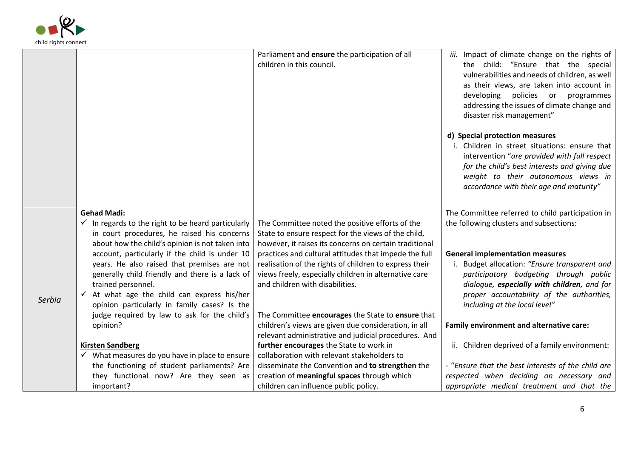

|        |                                                                                                                                                                                                                                                                                                                                                                                                                           | Parliament and ensure the participation of all<br>children in this council.                                                                                                                                                                                                                                                                                                     | iii. Impact of climate change on the rights of<br>the child: "Ensure that the special<br>vulnerabilities and needs of children, as well<br>as their views, are taken into account in<br>policies<br>developing<br>programmes<br>or<br>addressing the issues of climate change and<br>disaster risk management"            |
|--------|---------------------------------------------------------------------------------------------------------------------------------------------------------------------------------------------------------------------------------------------------------------------------------------------------------------------------------------------------------------------------------------------------------------------------|---------------------------------------------------------------------------------------------------------------------------------------------------------------------------------------------------------------------------------------------------------------------------------------------------------------------------------------------------------------------------------|---------------------------------------------------------------------------------------------------------------------------------------------------------------------------------------------------------------------------------------------------------------------------------------------------------------------------|
|        |                                                                                                                                                                                                                                                                                                                                                                                                                           |                                                                                                                                                                                                                                                                                                                                                                                 | d) Special protection measures<br>i. Children in street situations: ensure that<br>intervention "are provided with full respect<br>for the child's best interests and giving due<br>weight to their autonomous views in<br>accordance with their age and maturity"                                                        |
|        | <b>Gehad Madi:</b><br>$\checkmark$ In regards to the right to be heard particularly<br>in court procedures, he raised his concerns<br>about how the child's opinion is not taken into<br>account, particularly if the child is under 10<br>years. He also raised that premises are not<br>generally child friendly and there is a lack of<br>trained personnel.<br>$\checkmark$ At what age the child can express his/her | The Committee noted the positive efforts of the<br>State to ensure respect for the views of the child,<br>however, it raises its concerns on certain traditional<br>practices and cultural attitudes that impede the full<br>realisation of the rights of children to express their<br>views freely, especially children in alternative care<br>and children with disabilities. | The Committee referred to child participation in<br>the following clusters and subsections:<br><b>General implementation measures</b><br>Budget allocation: "Ensure transparent and<br>participatory budgeting through public<br>dialogue, especially with children, and for<br>proper accountability of the authorities, |
| Serbia | opinion particularly in family cases? Is the<br>judge required by law to ask for the child's<br>opinion?<br><b>Kirsten Sandberg</b><br>$\checkmark$ What measures do you have in place to ensure                                                                                                                                                                                                                          | The Committee encourages the State to ensure that<br>children's views are given due consideration, in all<br>relevant administrative and judicial procedures. And<br>further encourages the State to work in<br>collaboration with relevant stakeholders to                                                                                                                     | including at the local level"<br>Family environment and alternative care:<br>ii. Children deprived of a family environment:                                                                                                                                                                                               |
|        | the functioning of student parliaments? Are<br>they functional now? Are they seen as<br>important?                                                                                                                                                                                                                                                                                                                        | disseminate the Convention and to strengthen the<br>creation of meaningful spaces through which<br>children can influence public policy.                                                                                                                                                                                                                                        | - "Ensure that the best interests of the child are<br>respected when deciding on necessary and<br>appropriate medical treatment and that the                                                                                                                                                                              |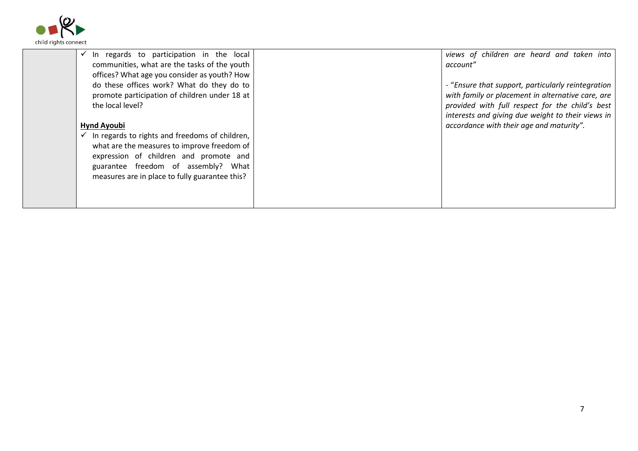

| In regards to participation in the local<br>communities, what are the tasks of the youth<br>offices? What age you consider as youth? How<br>do these offices work? What do they do to<br>promote participation of children under 18 at<br>the local level?<br><b>Hynd Ayoubi</b><br>In regards to rights and freedoms of children,<br>what are the measures to improve freedom of<br>expression of children and promote and<br>guarantee freedom of assembly? What<br>measures are in place to fully guarantee this? | views of children are heard and taken into<br>account"<br>- "Ensure that support, particularly reintegration<br>with family or placement in alternative care, are<br>provided with full respect for the child's best<br>interests and giving due weight to their views in<br>accordance with their age and maturity". |
|----------------------------------------------------------------------------------------------------------------------------------------------------------------------------------------------------------------------------------------------------------------------------------------------------------------------------------------------------------------------------------------------------------------------------------------------------------------------------------------------------------------------|-----------------------------------------------------------------------------------------------------------------------------------------------------------------------------------------------------------------------------------------------------------------------------------------------------------------------|
|                                                                                                                                                                                                                                                                                                                                                                                                                                                                                                                      |                                                                                                                                                                                                                                                                                                                       |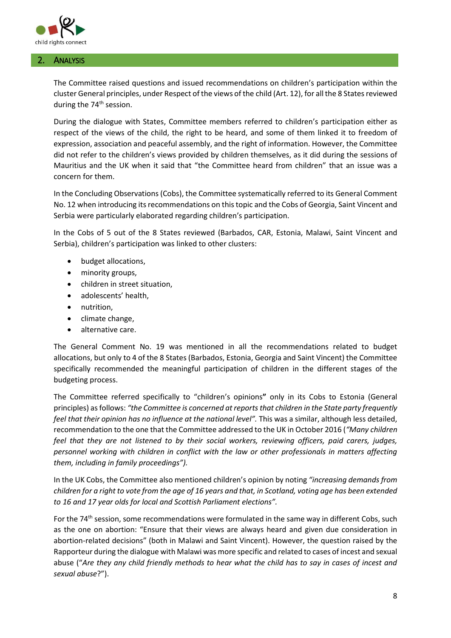

## 2. ANALYSIS

The Committee raised questions and issued recommendations on children's participation within the cluster General principles, under Respect of the views of the child (Art. 12), for all the 8 States reviewed during the 74<sup>th</sup> session.

During the dialogue with States, Committee members referred to children's participation either as respect of the views of the child, the right to be heard, and some of them linked it to freedom of expression, association and peaceful assembly, and the right of information. However, the Committee did not refer to the children's views provided by children themselves, as it did during the sessions of Mauritius and the UK when it said that "the Committee heard from children" that an issue was a concern for them.

In the Concluding Observations (Cobs), the Committee systematically referred to its General Comment No. 12 when introducing its recommendations on this topic and the Cobs of Georgia, Saint Vincent and Serbia were particularly elaborated regarding children's participation.

In the Cobs of 5 out of the 8 States reviewed (Barbados, CAR, Estonia, Malawi, Saint Vincent and Serbia), children's participation was linked to other clusters:

- budget allocations,
- minority groups,
- children in street situation,
- adolescents' health,
- nutrition,
- climate change,
- alternative care.

The General Comment No. 19 was mentioned in all the recommendations related to budget allocations, but only to 4 of the 8 States (Barbados, Estonia, Georgia and Saint Vincent) the Committee specifically recommended the meaningful participation of children in the different stages of the budgeting process.

The Committee referred specifically to "children's opinions**"** only in its Cobs to Estonia (General principles) as follows: *"the Committee is concerned at reports that children in the State party frequently feel that their opinion has no influence at the national level".* This was a similar, although less detailed, recommendation to the one that the Committee addressed to the UK in October 2016 (*"Many children feel that they are not listened to by their social workers, reviewing officers, paid carers, judges, personnel working with children in conflict with the law or other professionals in matters affecting them, including in family proceedings").*

In the UK Cobs, the Committee also mentioned children's opinion by noting *"increasing demands from children for a right to vote from the age of 16 years and that, in Scotland, voting age has been extended to 16 and 17 year olds for local and Scottish Parliament elections".* 

For the 74<sup>th</sup> session, some recommendations were formulated in the same way in different Cobs, such as the one on abortion: "Ensure that their views are always heard and given due consideration in abortion-related decisions" (both in Malawi and Saint Vincent). However, the question raised by the Rapporteur during the dialogue with Malawi was more specific and related to cases of incest and sexual abuse ("*Are they any child friendly methods to hear what the child has to say in cases of incest and sexual abuse*?").